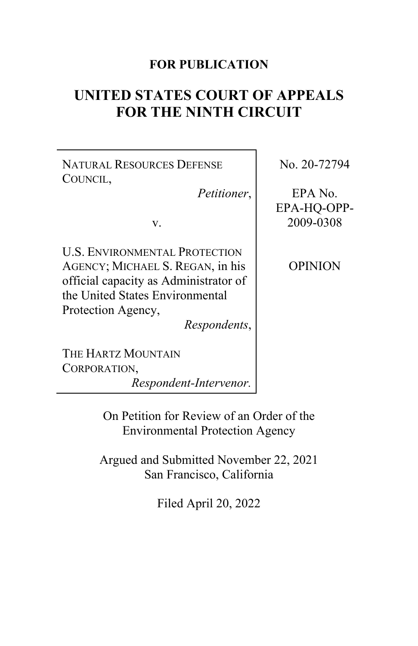# **FOR PUBLICATION**

# **UNITED STATES COURT OF APPEALS FOR THE NINTH CIRCUIT**

NATURAL RESOURCES DEFENSE COUNCIL,

*Petitioner*,

v.

U.S. ENVIRONMENTAL PROTECTION AGENCY; MICHAEL S. REGAN, in his official capacity as Administrator of the United States Environmental Protection Agency,

*Respondents*,

No. 20-72794

EPA No. EPA-HQ-OPP-2009-0308

OPINION

THE HARTZ MOUNTAIN CORPORATION,

*Respondent-Intervenor.*

On Petition for Review of an Order of the Environmental Protection Agency

Argued and Submitted November 22, 2021 San Francisco, California

Filed April 20, 2022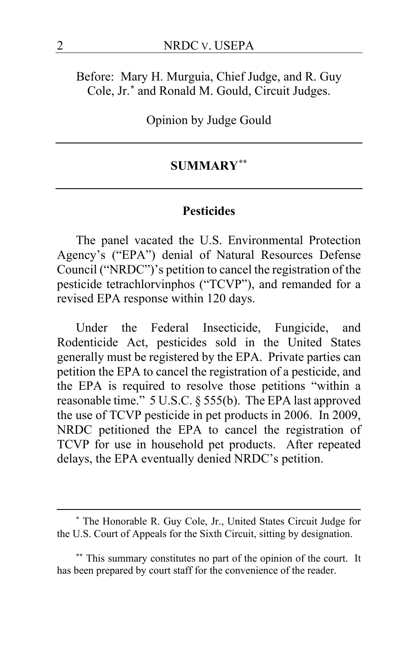Before: Mary H. Murguia, Chief Judge, and R. Guy Cole, Jr.**[\\*](#page-1-0)** and Ronald M. Gould, Circuit Judges.

Opinion by Judge Gould

# **SUMMARY[\\*\\*](#page-1-1)**

#### **Pesticides**

The panel vacated the U.S. Environmental Protection Agency's ("EPA") denial of Natural Resources Defense Council ("NRDC")'s petition to cancel the registration of the pesticide tetrachlorvinphos ("TCVP"), and remanded for a revised EPA response within 120 days.

Under the Federal Insecticide, Fungicide, and Rodenticide Act, pesticides sold in the United States generally must be registered by the EPA. Private parties can petition the EPA to cancel the registration of a pesticide, and the EPA is required to resolve those petitions "within a reasonable time." 5 U.S.C. § 555(b). The EPA last approved the use of TCVP pesticide in pet products in 2006. In 2009, NRDC petitioned the EPA to cancel the registration of TCVP for use in household pet products. After repeated delays, the EPA eventually denied NRDC's petition.

<span id="page-1-0"></span>**<sup>\*</sup>** The Honorable R. Guy Cole, Jr., United States Circuit Judge for the U.S. Court of Appeals for the Sixth Circuit, sitting by designation.

<span id="page-1-1"></span>**<sup>\*\*</sup>** This summary constitutes no part of the opinion of the court. It has been prepared by court staff for the convenience of the reader.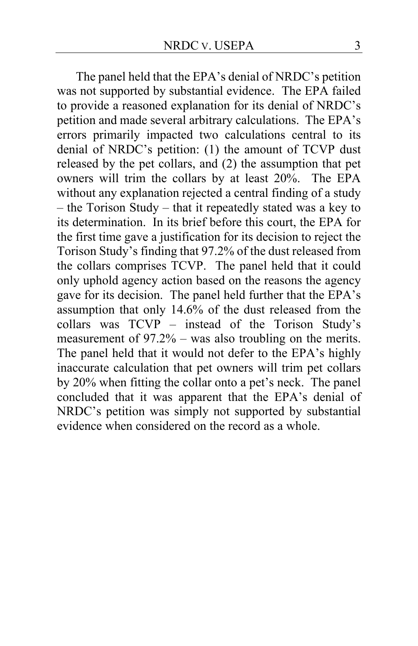The panel held that the EPA's denial of NRDC's petition was not supported by substantial evidence. The EPA failed to provide a reasoned explanation for its denial of NRDC's petition and made several arbitrary calculations. The EPA's errors primarily impacted two calculations central to its denial of NRDC's petition: (1) the amount of TCVP dust released by the pet collars, and (2) the assumption that pet owners will trim the collars by at least 20%. The EPA without any explanation rejected a central finding of a study – the Torison Study – that it repeatedly stated was a key to its determination. In its brief before this court, the EPA for the first time gave a justification for its decision to reject the Torison Study's finding that 97.2% of the dust released from the collars comprises TCVP. The panel held that it could only uphold agency action based on the reasons the agency gave for its decision. The panel held further that the EPA's assumption that only 14.6% of the dust released from the collars was TCVP – instead of the Torison Study's measurement of 97.2% – was also troubling on the merits. The panel held that it would not defer to the EPA's highly inaccurate calculation that pet owners will trim pet collars by 20% when fitting the collar onto a pet's neck. The panel concluded that it was apparent that the EPA's denial of NRDC's petition was simply not supported by substantial evidence when considered on the record as a whole.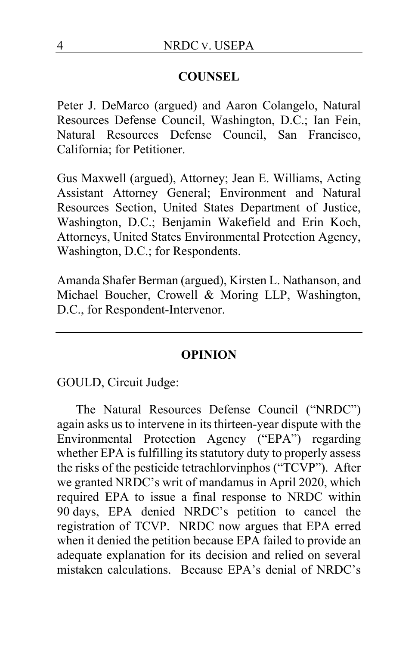## **COUNSEL**

Peter J. DeMarco (argued) and Aaron Colangelo, Natural Resources Defense Council, Washington, D.C.; Ian Fein, Natural Resources Defense Council, San Francisco, California; for Petitioner.

Gus Maxwell (argued), Attorney; Jean E. Williams, Acting Assistant Attorney General; Environment and Natural Resources Section, United States Department of Justice, Washington, D.C.; Benjamin Wakefield and Erin Koch, Attorneys, United States Environmental Protection Agency, Washington, D.C.; for Respondents.

Amanda Shafer Berman (argued), Kirsten L. Nathanson, and Michael Boucher, Crowell & Moring LLP, Washington, D.C., for Respondent-Intervenor.

#### **OPINION**

GOULD, Circuit Judge:

The Natural Resources Defense Council ("NRDC") again asks us to intervene in its thirteen-year dispute with the Environmental Protection Agency ("EPA") regarding whether EPA is fulfilling its statutory duty to properly assess the risks of the pesticide tetrachlorvinphos ("TCVP"). After we granted NRDC's writ of mandamus in April 2020, which required EPA to issue a final response to NRDC within 90 days, EPA denied NRDC's petition to cancel the registration of TCVP. NRDC now argues that EPA erred when it denied the petition because EPA failed to provide an adequate explanation for its decision and relied on several mistaken calculations. Because EPA's denial of NRDC's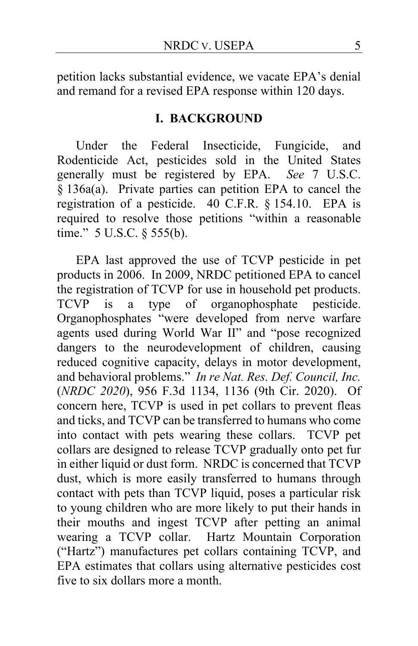petition lacks substantial evidence, we vacate EPA's denial and remand for a revised EPA response within 120 days.

#### **I. BACKGROUND**

Under the Federal Insecticide, Fungicide, and Rodenticide Act, pesticides sold in the United States generally must be registered by EPA. *See* 7 U.S.C. § 136a(a). Private parties can petition EPA to cancel the registration of a pesticide. 40 C.F.R. § 154.10. EPA is required to resolve those petitions "within a reasonable time." 5 U.S.C. § 555(b).

EPA last approved the use of TCVP pesticide in pet products in 2006. In 2009, NRDC petitioned EPA to cancel the registration of TCVP for use in household pet products. TCVP is a type of organophosphate pesticide. Organophosphates "were developed from nerve warfare agents used during World War II" and "pose recognized dangers to the neurodevelopment of children, causing reduced cognitive capacity, delays in motor development, and behavioral problems." *In re Nat. Res. Def. Council, Inc.* (*NRDC 2020*), 956 F.3d 1134, 1136 (9th Cir. 2020). Of concern here, TCVP is used in pet collars to prevent fleas and ticks, and TCVP can be transferred to humans who come into contact with pets wearing these collars. TCVP pet collars are designed to release TCVP gradually onto pet fur in either liquid or dust form. NRDC is concerned that TCVP dust, which is more easily transferred to humans through contact with pets than TCVP liquid, poses a particular risk to young children who are more likely to put their hands in their mouths and ingest TCVP after petting an animal wearing a TCVP collar. Hartz Mountain Corporation ("Hartz") manufactures pet collars containing TCVP, and EPA estimates that collars using alternative pesticides cost five to six dollars more a month.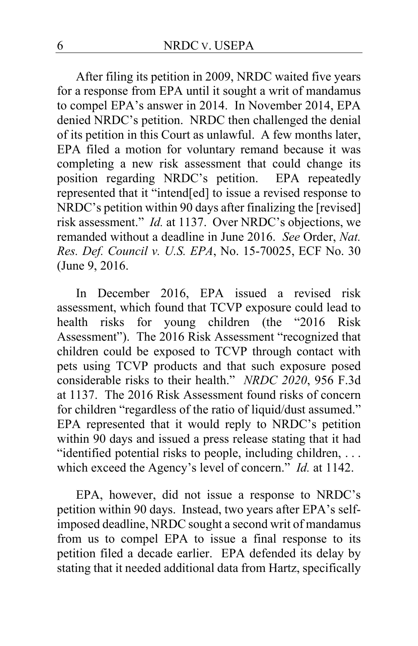After filing its petition in 2009, NRDC waited five years for a response from EPA until it sought a writ of mandamus to compel EPA's answer in 2014. In November 2014, EPA denied NRDC's petition. NRDC then challenged the denial of its petition in this Court as unlawful. A few months later, EPA filed a motion for voluntary remand because it was completing a new risk assessment that could change its position regarding NRDC's petition. EPA repeatedly represented that it "intend[ed] to issue a revised response to NRDC's petition within 90 days after finalizing the [revised] risk assessment." *Id.* at 1137. Over NRDC's objections, we remanded without a deadline in June 2016. *See* Order, *Nat. Res. Def. Council v. U.S. EPA*, No. 15-70025, ECF No. 30 (June 9, 2016.

In December 2016, EPA issued a revised risk assessment, which found that TCVP exposure could lead to health risks for young children (the "2016 Risk Assessment"). The 2016 Risk Assessment "recognized that children could be exposed to TCVP through contact with pets using TCVP products and that such exposure posed considerable risks to their health." *NRDC 2020*, 956 F.3d at 1137. The 2016 Risk Assessment found risks of concern for children "regardless of the ratio of liquid/dust assumed." EPA represented that it would reply to NRDC's petition within 90 days and issued a press release stating that it had "identified potential risks to people, including children, . . . which exceed the Agency's level of concern." *Id.* at 1142.

EPA, however, did not issue a response to NRDC's petition within 90 days. Instead, two years after EPA's selfimposed deadline, NRDC sought a second writ of mandamus from us to compel EPA to issue a final response to its petition filed a decade earlier. EPA defended its delay by stating that it needed additional data from Hartz, specifically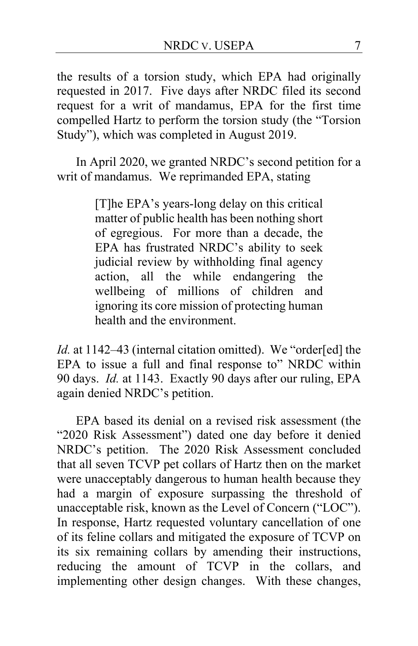the results of a torsion study, which EPA had originally requested in 2017. Five days after NRDC filed its second request for a writ of mandamus, EPA for the first time compelled Hartz to perform the torsion study (the "Torsion Study"), which was completed in August 2019.

In April 2020, we granted NRDC's second petition for a writ of mandamus. We reprimanded EPA, stating

> [T]he EPA's years-long delay on this critical matter of public health has been nothing short of egregious. For more than a decade, the EPA has frustrated NRDC's ability to seek judicial review by withholding final agency action, all the while endangering the wellbeing of millions of children and ignoring its core mission of protecting human health and the environment.

*Id.* at 1142–43 (internal citation omitted). We "order[ed] the EPA to issue a full and final response to" NRDC within 90 days. *Id.* at 1143. Exactly 90 days after our ruling, EPA again denied NRDC's petition.

EPA based its denial on a revised risk assessment (the "2020 Risk Assessment") dated one day before it denied NRDC's petition. The 2020 Risk Assessment concluded that all seven TCVP pet collars of Hartz then on the market were unacceptably dangerous to human health because they had a margin of exposure surpassing the threshold of unacceptable risk, known as the Level of Concern ("LOC"). In response, Hartz requested voluntary cancellation of one of its feline collars and mitigated the exposure of TCVP on its six remaining collars by amending their instructions, reducing the amount of TCVP in the collars, and implementing other design changes. With these changes,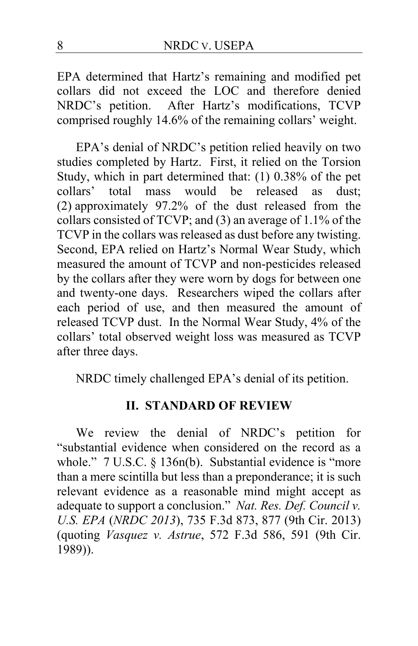EPA determined that Hartz's remaining and modified pet collars did not exceed the LOC and therefore denied NRDC's petition. After Hartz's modifications, TCVP comprised roughly 14.6% of the remaining collars' weight.

EPA's denial of NRDC's petition relied heavily on two studies completed by Hartz. First, it relied on the Torsion Study, which in part determined that: (1) 0.38% of the pet collars' total mass would be released as dust; (2) approximately 97.2% of the dust released from the collars consisted of TCVP; and (3) an average of 1.1% of the TCVP in the collars was released as dust before any twisting. Second, EPA relied on Hartz's Normal Wear Study, which measured the amount of TCVP and non-pesticides released by the collars after they were worn by dogs for between one and twenty-one days. Researchers wiped the collars after each period of use, and then measured the amount of released TCVP dust. In the Normal Wear Study, 4% of the collars' total observed weight loss was measured as TCVP after three days.

NRDC timely challenged EPA's denial of its petition.

### **II. STANDARD OF REVIEW**

We review the denial of NRDC's petition for "substantial evidence when considered on the record as a whole." 7 U.S.C. § 136n(b). Substantial evidence is "more than a mere scintilla but less than a preponderance; it is such relevant evidence as a reasonable mind might accept as adequate to support a conclusion." *Nat. Res. Def. Council v. U.S. EPA* (*NRDC 2013*), 735 F.3d 873, 877 (9th Cir. 2013) (quoting *Vasquez v. Astrue*, 572 F.3d 586, 591 (9th Cir. 1989)).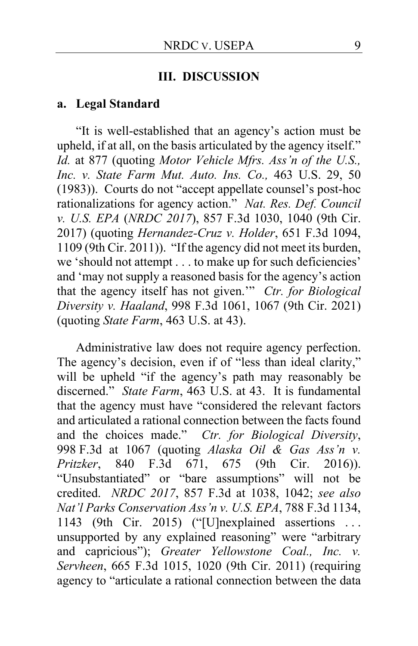#### **III. DISCUSSION**

#### **a. Legal Standard**

"It is well-established that an agency's action must be upheld, if at all, on the basis articulated by the agency itself." *Id.* at 877 (quoting *Motor Vehicle Mfrs. Ass'n of the U.S., Inc. v. State Farm Mut. Auto. Ins. Co.,* 463 U.S. 29, 50 (1983)). Courts do not "accept appellate counsel's post-hoc rationalizations for agency action." *Nat. Res. Def. Council v. U.S. EPA* (*NRDC 2017*), 857 F.3d 1030, 1040 (9th Cir. 2017) (quoting *Hernandez-Cruz v. Holder*, 651 F.3d 1094, 1109 (9th Cir. 2011)). "If the agency did not meet its burden, we 'should not attempt . . . to make up for such deficiencies' and 'may not supply a reasoned basis for the agency's action that the agency itself has not given.'" *Ctr. for Biological Diversity v. Haaland*, 998 F.3d 1061, 1067 (9th Cir. 2021) (quoting *State Farm*, 463 U.S. at 43).

Administrative law does not require agency perfection. The agency's decision, even if of "less than ideal clarity," will be upheld "if the agency's path may reasonably be discerned." *State Farm*, 463 U.S. at 43. It is fundamental that the agency must have "considered the relevant factors and articulated a rational connection between the facts found and the choices made." *Ctr. for Biological Diversity*, 998 F.3d at 1067 (quoting *Alaska Oil & Gas Ass'n v. Pritzker*, 840 F.3d 671, 675 (9th Cir. 2016)). "Unsubstantiated" or "bare assumptions" will not be credited. *NRDC 2017*, 857 F.3d at 1038, 1042; *see also Nat'l Parks Conservation Ass'n v. U.S. EPA*, 788 F.3d 1134, 1143 (9th Cir. 2015) ("[U]nexplained assertions . . . unsupported by any explained reasoning" were "arbitrary and capricious"); *Greater Yellowstone Coal., Inc. v. Servheen*, 665 F.3d 1015, 1020 (9th Cir. 2011) (requiring agency to "articulate a rational connection between the data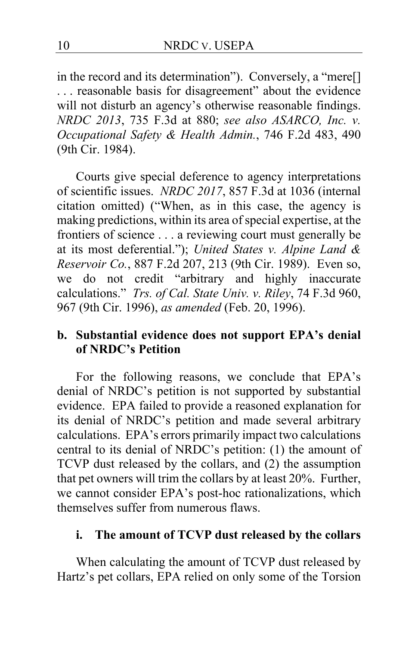in the record and its determination"). Conversely, a "mere[] . . . reasonable basis for disagreement" about the evidence will not disturb an agency's otherwise reasonable findings. *NRDC 2013*, 735 F.3d at 880; *see also ASARCO, Inc. v. Occupational Safety & Health Admin.*, 746 F.2d 483, 490 (9th Cir. 1984).

Courts give special deference to agency interpretations of scientific issues. *NRDC 2017*, 857 F.3d at 1036 (internal citation omitted) ("When, as in this case, the agency is making predictions, within its area of special expertise, at the frontiers of science . . . a reviewing court must generally be at its most deferential."); *United States v. Alpine Land & Reservoir Co.*, 887 F.2d 207, 213 (9th Cir. 1989). Even so, we do not credit "arbitrary and highly inaccurate calculations." *Trs. of Cal. State Univ. v. Riley*, 74 F.3d 960, 967 (9th Cir. 1996), *as amended* (Feb. 20, 1996).

# **b. Substantial evidence does not support EPA's denial of NRDC's Petition**

For the following reasons, we conclude that EPA's denial of NRDC's petition is not supported by substantial evidence. EPA failed to provide a reasoned explanation for its denial of NRDC's petition and made several arbitrary calculations. EPA's errors primarily impact two calculations central to its denial of NRDC's petition: (1) the amount of TCVP dust released by the collars, and (2) the assumption that pet owners will trim the collars by at least 20%. Further, we cannot consider EPA's post-hoc rationalizations, which themselves suffer from numerous flaws.

### **i. The amount of TCVP dust released by the collars**

When calculating the amount of TCVP dust released by Hartz's pet collars, EPA relied on only some of the Torsion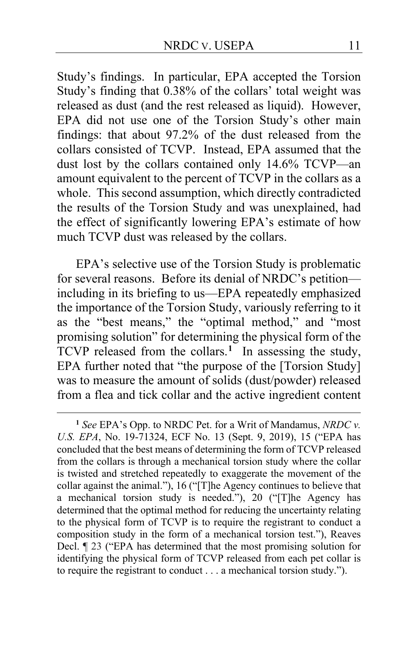Study's findings. In particular, EPA accepted the Torsion Study's finding that 0.38% of the collars' total weight was released as dust (and the rest released as liquid). However, EPA did not use one of the Torsion Study's other main findings: that about 97.2% of the dust released from the collars consisted of TCVP. Instead, EPA assumed that the dust lost by the collars contained only 14.6% TCVP—an amount equivalent to the percent of TCVP in the collars as a whole. This second assumption, which directly contradicted the results of the Torsion Study and was unexplained, had the effect of significantly lowering EPA's estimate of how much TCVP dust was released by the collars.

EPA's selective use of the Torsion Study is problematic for several reasons. Before its denial of NRDC's petition including in its briefing to us—EPA repeatedly emphasized the importance of the Torsion Study, variously referring to it as the "best means," the "optimal method," and "most promising solution" for determining the physical form of the TCVP released from the collars.<sup>[1](#page-10-0)</sup> In assessing the study, EPA further noted that "the purpose of the [Torsion Study] was to measure the amount of solids (dust/powder) released from a flea and tick collar and the active ingredient content

<span id="page-10-0"></span>**<sup>1</sup>** *See* EPA's Opp. to NRDC Pet. for a Writ of Mandamus, *NRDC v. U.S. EPA*, No. 19-71324, ECF No. 13 (Sept. 9, 2019), 15 ("EPA has concluded that the best means of determining the form of TCVP released from the collars is through a mechanical torsion study where the collar is twisted and stretched repeatedly to exaggerate the movement of the collar against the animal."), 16 ("[T]he Agency continues to believe that a mechanical torsion study is needed."), 20 ("[T]he Agency has determined that the optimal method for reducing the uncertainty relating to the physical form of TCVP is to require the registrant to conduct a composition study in the form of a mechanical torsion test."), Reaves Decl. ¶ 23 ("EPA has determined that the most promising solution for identifying the physical form of TCVP released from each pet collar is to require the registrant to conduct . . . a mechanical torsion study.").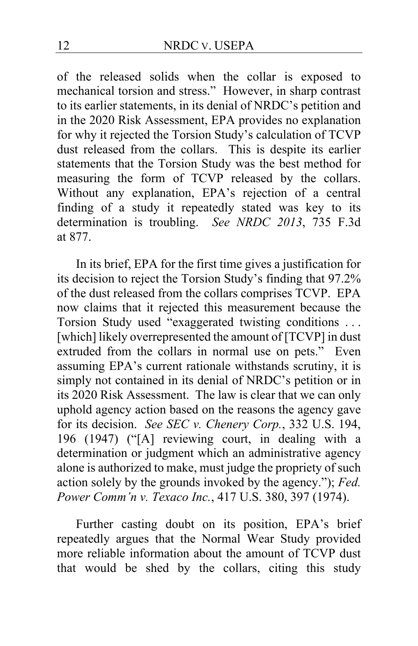of the released solids when the collar is exposed to mechanical torsion and stress." However, in sharp contrast to its earlier statements, in its denial of NRDC's petition and in the 2020 Risk Assessment, EPA provides no explanation for why it rejected the Torsion Study's calculation of TCVP dust released from the collars. This is despite its earlier statements that the Torsion Study was the best method for measuring the form of TCVP released by the collars. Without any explanation, EPA's rejection of a central finding of a study it repeatedly stated was key to its determination is troubling. *See NRDC 2013*, 735 F.3d at 877.

In its brief, EPA for the first time gives a justification for its decision to reject the Torsion Study's finding that 97.2% of the dust released from the collars comprises TCVP. EPA now claims that it rejected this measurement because the Torsion Study used "exaggerated twisting conditions . . . [which] likely overrepresented the amount of [TCVP] in dust extruded from the collars in normal use on pets." Even assuming EPA's current rationale withstands scrutiny, it is simply not contained in its denial of NRDC's petition or in its 2020 Risk Assessment. The law is clear that we can only uphold agency action based on the reasons the agency gave for its decision. *See SEC v. Chenery Corp.*, 332 U.S. 194, 196 (1947) ("[A] reviewing court, in dealing with a determination or judgment which an administrative agency alone is authorized to make, must judge the propriety of such action solely by the grounds invoked by the agency."); *Fed. Power Comm'n v. Texaco Inc.*, 417 U.S. 380, 397 (1974).

Further casting doubt on its position, EPA's brief repeatedly argues that the Normal Wear Study provided more reliable information about the amount of TCVP dust that would be shed by the collars, citing this study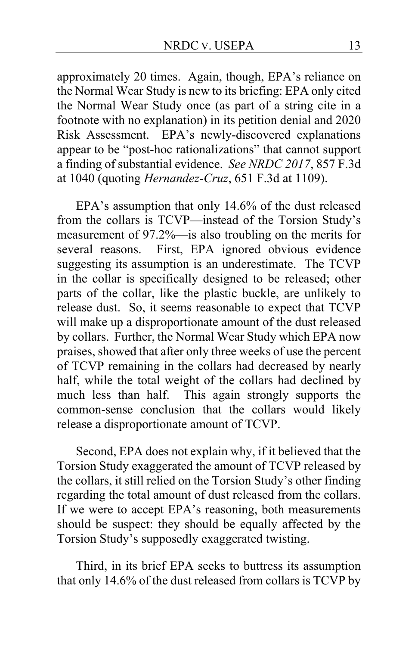approximately 20 times. Again, though, EPA's reliance on the Normal Wear Study is new to its briefing: EPA only cited the Normal Wear Study once (as part of a string cite in a footnote with no explanation) in its petition denial and 2020 Risk Assessment. EPA's newly-discovered explanations appear to be "post-hoc rationalizations" that cannot support a finding of substantial evidence. *See NRDC 2017*, 857 F.3d at 1040 (quoting *Hernandez-Cruz*, 651 F.3d at 1109).

EPA's assumption that only 14.6% of the dust released from the collars is TCVP—instead of the Torsion Study's measurement of 97.2%—is also troubling on the merits for several reasons. First, EPA ignored obvious evidence suggesting its assumption is an underestimate. The TCVP in the collar is specifically designed to be released; other parts of the collar, like the plastic buckle, are unlikely to release dust. So, it seems reasonable to expect that TCVP will make up a disproportionate amount of the dust released by collars. Further, the Normal Wear Study which EPA now praises, showed that after only three weeks of use the percent of TCVP remaining in the collars had decreased by nearly half, while the total weight of the collars had declined by much less than half. This again strongly supports the common-sense conclusion that the collars would likely release a disproportionate amount of TCVP.

Second, EPA does not explain why, if it believed that the Torsion Study exaggerated the amount of TCVP released by the collars, it still relied on the Torsion Study's other finding regarding the total amount of dust released from the collars. If we were to accept EPA's reasoning, both measurements should be suspect: they should be equally affected by the Torsion Study's supposedly exaggerated twisting.

Third, in its brief EPA seeks to buttress its assumption that only 14.6% of the dust released from collars is TCVP by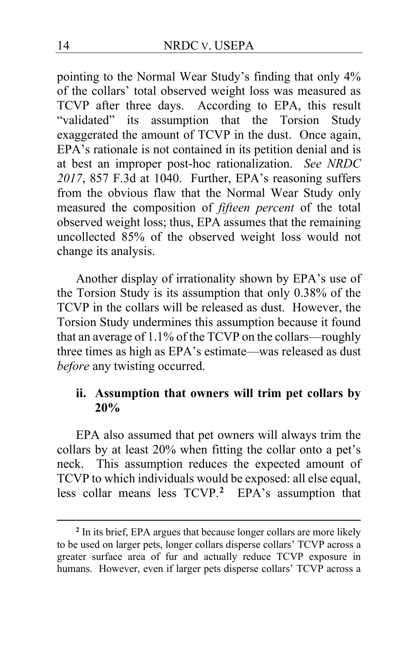pointing to the Normal Wear Study's finding that only 4% of the collars' total observed weight loss was measured as TCVP after three days. According to EPA, this result "validated" its assumption that the Torsion Study exaggerated the amount of TCVP in the dust. Once again, EPA's rationale is not contained in its petition denial and is at best an improper post-hoc rationalization. *See NRDC 2017*, 857 F.3d at 1040. Further, EPA's reasoning suffers from the obvious flaw that the Normal Wear Study only measured the composition of *fifteen percent* of the total observed weight loss; thus, EPA assumes that the remaining uncollected 85% of the observed weight loss would not change its analysis.

Another display of irrationality shown by EPA's use of the Torsion Study is its assumption that only 0.38% of the TCVP in the collars will be released as dust. However, the Torsion Study undermines this assumption because it found that an average of 1.1% of the TCVP on the collars—roughly three times as high as EPA's estimate—was released as dust *before* any twisting occurred.

## **ii. Assumption that owners will trim pet collars by 20%**

EPA also assumed that pet owners will always trim the collars by at least 20% when fitting the collar onto a pet's neck. This assumption reduces the expected amount of TCVP to which individuals would be exposed: all else equal, less collar means less TCVP.**[2](#page-13-0)** EPA's assumption that

<span id="page-13-0"></span>**<sup>2</sup>** In its brief, EPA argues that because longer collars are more likely to be used on larger pets, longer collars disperse collars' TCVP across a greater surface area of fur and actually reduce TCVP exposure in humans. However, even if larger pets disperse collars' TCVP across a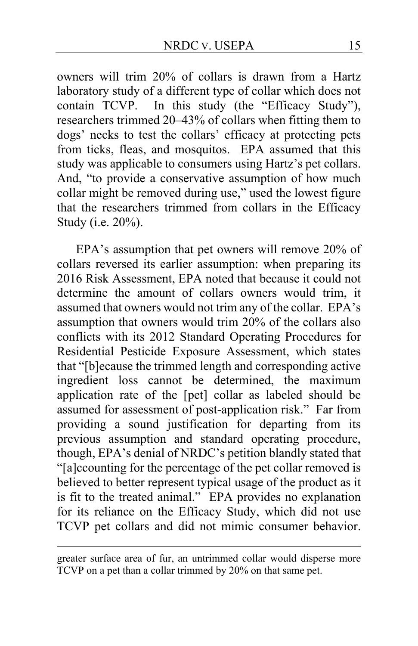owners will trim 20% of collars is drawn from a Hartz laboratory study of a different type of collar which does not contain TCVP. In this study (the "Efficacy Study"), researchers trimmed 20–43% of collars when fitting them to dogs' necks to test the collars' efficacy at protecting pets from ticks, fleas, and mosquitos. EPA assumed that this study was applicable to consumers using Hartz's pet collars. And, "to provide a conservative assumption of how much collar might be removed during use," used the lowest figure that the researchers trimmed from collars in the Efficacy Study (i.e. 20%).

EPA's assumption that pet owners will remove 20% of collars reversed its earlier assumption: when preparing its 2016 Risk Assessment, EPA noted that because it could not determine the amount of collars owners would trim, it assumed that owners would not trim any of the collar. EPA's assumption that owners would trim 20% of the collars also conflicts with its 2012 Standard Operating Procedures for Residential Pesticide Exposure Assessment, which states that "[b]ecause the trimmed length and corresponding active ingredient loss cannot be determined, the maximum application rate of the [pet] collar as labeled should be assumed for assessment of post-application risk."Far from providing a sound justification for departing from its previous assumption and standard operating procedure, though, EPA's denial of NRDC's petition blandly stated that "[a]ccounting for the percentage of the pet collar removed is believed to better represent typical usage of the product as it is fit to the treated animal." EPA provides no explanation for its reliance on the Efficacy Study, which did not use TCVP pet collars and did not mimic consumer behavior.

greater surface area of fur, an untrimmed collar would disperse more TCVP on a pet than a collar trimmed by 20% on that same pet.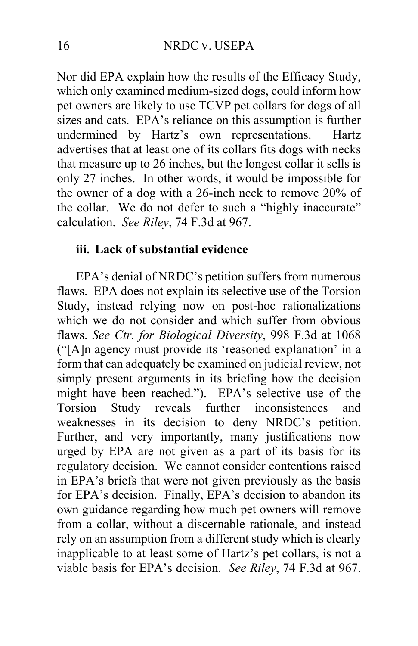Nor did EPA explain how the results of the Efficacy Study, which only examined medium-sized dogs, could inform how pet owners are likely to use TCVP pet collars for dogs of all sizes and cats. EPA's reliance on this assumption is further undermined by Hartz's own representations. Hartz advertises that at least one of its collars fits dogs with necks that measure up to 26 inches, but the longest collar it sells is only 27 inches. In other words, it would be impossible for the owner of a dog with a 26-inch neck to remove 20% of the collar. We do not defer to such a "highly inaccurate" calculation. *See Riley*, 74 F.3d at 967.

### **iii. Lack of substantial evidence**

EPA's denial of NRDC's petition suffers from numerous flaws. EPA does not explain its selective use of the Torsion Study, instead relying now on post-hoc rationalizations which we do not consider and which suffer from obvious flaws. *See Ctr. for Biological Diversity*, 998 F.3d at 1068 ("[A]n agency must provide its 'reasoned explanation' in a form that can adequately be examined on judicial review, not simply present arguments in its briefing how the decision might have been reached."). EPA's selective use of the Torsion Study reveals further inconsistences and Study reveals further inconsistences and weaknesses in its decision to deny NRDC's petition. Further, and very importantly, many justifications now urged by EPA are not given as a part of its basis for its regulatory decision. We cannot consider contentions raised in EPA's briefs that were not given previously as the basis for EPA's decision. Finally, EPA's decision to abandon its own guidance regarding how much pet owners will remove from a collar, without a discernable rationale, and instead rely on an assumption from a different study which is clearly inapplicable to at least some of Hartz's pet collars, is not a viable basis for EPA's decision. *See Riley*, 74 F.3d at 967.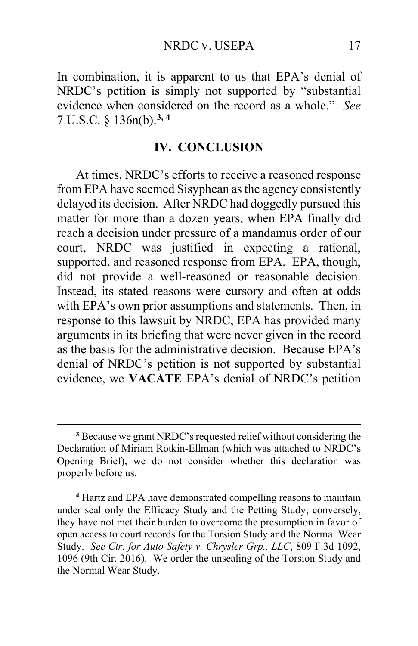In combination, it is apparent to us that EPA's denial of NRDC's petition is simply not supported by "substantial evidence when considered on the record as a whole." *See* 7 U.S.C. § 136n(b).**[3,](#page-16-0) [4](#page-16-1)**

#### **IV. CONCLUSION**

At times, NRDC's efforts to receive a reasoned response from EPA have seemed Sisyphean as the agency consistently delayed its decision. After NRDC had doggedly pursued this matter for more than a dozen years, when EPA finally did reach a decision under pressure of a mandamus order of our court, NRDC was justified in expecting a rational, supported, and reasoned response from EPA. EPA, though, did not provide a well-reasoned or reasonable decision. Instead, its stated reasons were cursory and often at odds with EPA's own prior assumptions and statements. Then, in response to this lawsuit by NRDC, EPA has provided many arguments in its briefing that were never given in the record as the basis for the administrative decision. Because EPA's denial of NRDC's petition is not supported by substantial evidence, we **VACATE** EPA's denial of NRDC's petition

<span id="page-16-0"></span>**<sup>3</sup>** Because we grant NRDC's requested relief without considering the Declaration of Miriam Rotkin-Ellman (which was attached to NRDC's Opening Brief), we do not consider whether this declaration was properly before us.

<span id="page-16-1"></span>**<sup>4</sup>** Hartz and EPA have demonstrated compelling reasons to maintain under seal only the Efficacy Study and the Petting Study; conversely, they have not met their burden to overcome the presumption in favor of open access to court records for the Torsion Study and the Normal Wear Study. *See Ctr. for Auto Safety v. Chrysler Grp., LLC*, 809 F.3d 1092, 1096 (9th Cir. 2016). We order the unsealing of the Torsion Study and the Normal Wear Study.